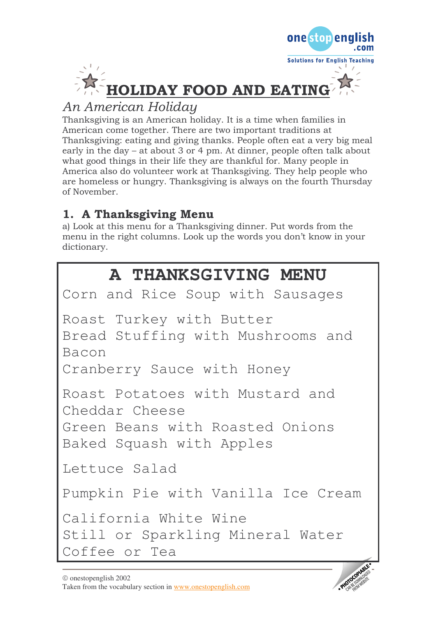

onestopend

· PHOTOCOPIA

# An American Holiday

Thanksgiving is an American holiday. It is a time when families in American come together. There are two important traditions at Thanksgiving: eating and giving thanks. People often eat a very big meal early in the day  $-$  at about 3 or 4 pm. At dinner, people often talk about what good things in their life they are thankful for. Many people in America also do volunteer work at Thanksgiving. They help people who are homeless or hungry. Thanksgiving is always on the fourth Thursday of November.

# 1. A Thanksgiving Menu

a) Look at this menu for a Thanksgiving dinner. Put words from the menu in the right columns. Look up the words you don't know in your dictionary.

# A THANKSGIVING MENU

```
Corn and Rice Soup with Sausages
Roast Turkey with Butter
Bread Stuffing with Mushrooms and
Bacon
Cranberry Sauce with Honey
Roast Potatoes with Mustard and
Cheddar Cheese
Green Beans with Roasted Onions
Baked Squash with Apples
Lettuce Salad
Pumpkin Pie with Vanilla Ice Cream
California White Wine
Still or Sparkling Mineral Water
Coffee or Tea
```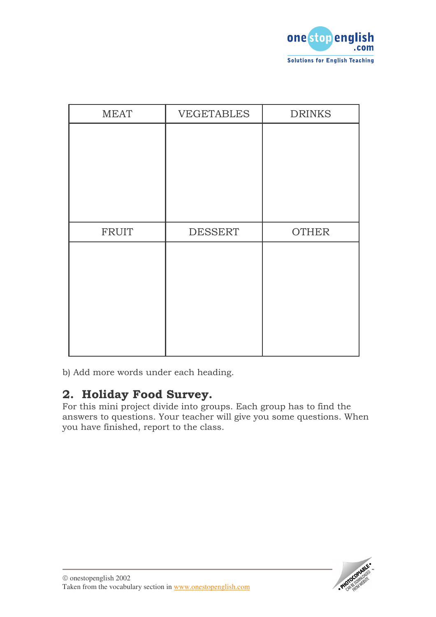

| <b>MEAT</b>  | <b>VEGETABLES</b> | <b>DRINKS</b> |
|--------------|-------------------|---------------|
|              |                   |               |
|              |                   |               |
|              |                   |               |
|              |                   |               |
|              |                   |               |
| <b>FRUIT</b> | <b>DESSERT</b>    | <b>OTHER</b>  |
|              |                   |               |
|              |                   |               |
|              |                   |               |
|              |                   |               |
|              |                   |               |
|              |                   |               |

b) Add more words under each heading.

### 2. Holiday Food Survey.

For this mini project divide into groups. Each group has to find the answers to questions. Your teacher will give you some questions. When you have finished, report to the class.

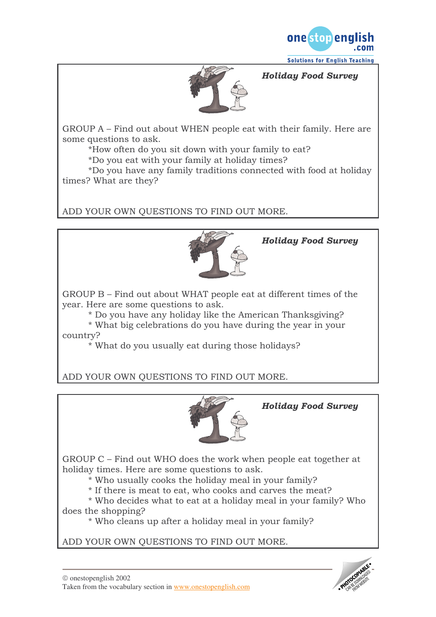

**Solutions for English Teaching** 

#### Holiday Food Survey



 $GROUP A - Find out about WHEN people eat with their family. Here are$ some questions to ask.

\*How often do you sit down with your family to eat?

\*Do you eat with your family at holiday times?

\*Do you have any family traditions connected with food at holiday times? What are they?

ADD YOUR OWN QUESTIONS TO FIND OUT MORE.



Holiday Food Survey

 $GROUP B$  – Find out about WHAT people eat at different times of the year. Here are some questions to ask.

\* Do you have any holiday like the American Thanksgiving?

\* What big celebrations do you have during the year in your country?

\* What do you usually eat during those holidays?

ADD YOUR OWN QUESTIONS TO FIND OUT MORE.



Holiday Food Survey

GROUP  $C$  – Find out WHO does the work when people eat together at holiday times. Here are some questions to ask.

\* Who usually cooks the holiday meal in your family?

\* If there is meat to eat, who cooks and carves the meat?

\* Who decides what to eat at a holiday meal in your family? Who does the shopping?

\* Who cleans up after a holiday meal in your family?

ADD YOUR OWN QUESTIONS TO FIND OUT MORE.